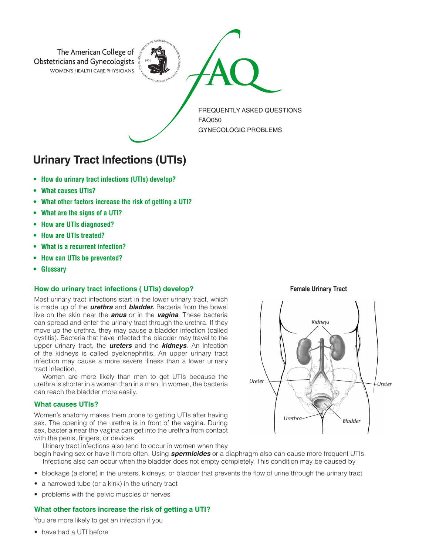

# **Urinary Tract Infections (UTIs)**

- **• How do urinary tract infections (UTIs) develop?**
- **• What causes UTIs?**
- **• What other factors increase the risk of getting a UTI?**
- **• What are the signs of a UTI?**
- **• How are UTIs diagnosed?**
- **• How are UTIs treated?**
- **• What is a recurrent infection?**
- **• How can UTIs be prevented?**
- **• Glossary**

### **How do urinary tract infections ( UTIs) develop?**

Most urinary tract infections start in the lower urinary tract, which is made up of the *urethra* and *bladder.* Bacteria from the bowel live on the skin near the *anus* or in the *vagina*. These bacteria can spread and enter the urinary tract through the urethra. If they move up the urethra, they may cause a bladder infection (called cystitis). Bacteria that have infected the bladder may travel to the upper urinary tract, the *ureters* and the *kidneys*. An infection of the kidneys is called pyelonephritis. An upper urinary tract infection may cause a more severe illness than a lower urinary tract infection.

Women are more likely than men to get UTIs because the urethra is shorter in a woman than in a man. In women, the bacteria can reach the bladder more easily.

## **What causes UTIs?**

Women's anatomy makes them prone to getting UTIs after having sex. The opening of the urethra is in front of the vagina. During sex, bacteria near the vagina can get into the urethra from contact with the penis, fingers, or devices.

Urinary tract infections also tend to occur in women when they

begin having sex or have it more often. Using *spermicides* or a diaphragm also can cause more frequent UTIs. Infections also can occur when the bladder does not empty completely. This condition may be caused by

- blockage (a stone) in the ureters, kidneys, or bladder that prevents the flow of urine through the urinary tract
- a narrowed tube (or a kink) in the urinary tract
- problems with the pelvic muscles or nerves

#### **What other factors increase the risk of getting a UTI?**

You are more likely to get an infection if you

• have had a UTI before

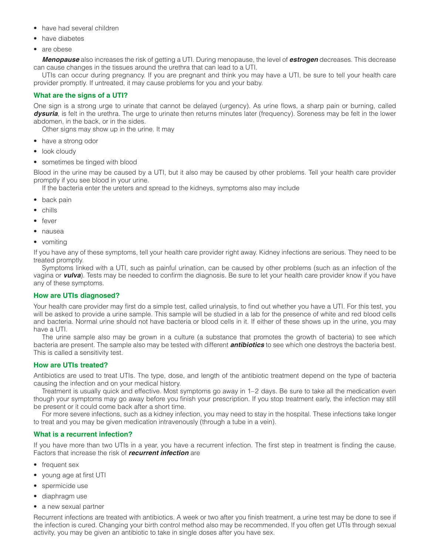- have had several children
- have diabetes
- are obese

*Menopause* also increases the risk of getting a UTI. During menopause, the level of *estrogen* decreases. This decrease can cause changes in the tissues around the urethra that can lead to a UTI.

UTIs can occur during pregnancy. If you are pregnant and think you may have a UTI, be sure to tell your health care provider promptly. If untreated, it may cause problems for you and your baby.

# **What are the signs of a UTI?**

One sign is a strong urge to urinate that cannot be delayed (urgency). As urine flows, a sharp pain or burning, called *dysuria*, is felt in the urethra. The urge to urinate then returns minutes later (frequency). Soreness may be felt in the lower abdomen, in the back, or in the sides.

Other signs may show up in the urine. It may

- have a strong odor
- look cloudy
- sometimes be tinged with blood

Blood in the urine may be caused by a UTI, but it also may be caused by other problems. Tell your health care provider promptly if you see blood in your urine.

If the bacteria enter the ureters and spread to the kidneys, symptoms also may include

- back pain
- chills
- fever
- nausea
- vomiting

If you have any of these symptoms, tell your health care provider right away. Kidney infections are serious. They need to be treated promptly.

Symptoms linked with a UTI, such as painful urination, can be caused by other problems (such as an infection of the vagina or *vulva*). Tests may be needed to confirm the diagnosis. Be sure to let your health care provider know if you have any of these symptoms.

### **How are UTIs diagnosed?**

Your health care provider may first do a simple test, called urinalysis, to find out whether you have a UTI. For this test, you will be asked to provide a urine sample. This sample will be studied in a lab for the presence of white and red blood cells and bacteria. Normal urine should not have bacteria or blood cells in it. If either of these shows up in the urine, you may have a UTI.

The urine sample also may be grown in a culture (a substance that promotes the growth of bacteria) to see which bacteria are present. The sample also may be tested with different *antibiotics* to see which one destroys the bacteria best. This is called a sensitivity test.

### **How are UTIs treated?**

Antibiotics are used to treat UTIs. The type, dose, and length of the antibiotic treatment depend on the type of bacteria causing the infection and on your medical history.

Treatment is usually quick and effective. Most symptoms go away in 1–2 days. Be sure to take all the medication even though your symptoms may go away before you finish your prescription. If you stop treatment early, the infection may still be present or it could come back after a short time.

For more severe infections, such as a kidney infection, you may need to stay in the hospital. These infections take longer to treat and you may be given medication intravenously (through a tube in a vein).

### **What is a recurrent infection?**

If you have more than two UTIs in a year, you have a recurrent infection. The first step in treatment is finding the cause. Factors that increase the risk of *recurrent infection* are

- frequent sex
- young age at first UTI
- spermicide use
- diaphragm use
- a new sexual partner

Recurrent infections are treated with antibiotics. A week or two after you finish treatment, a urine test may be done to see if the infection is cured. Changing your birth control method also may be recommended. If you often get UTIs through sexual activity, you may be given an antibiotic to take in single doses after you have sex.